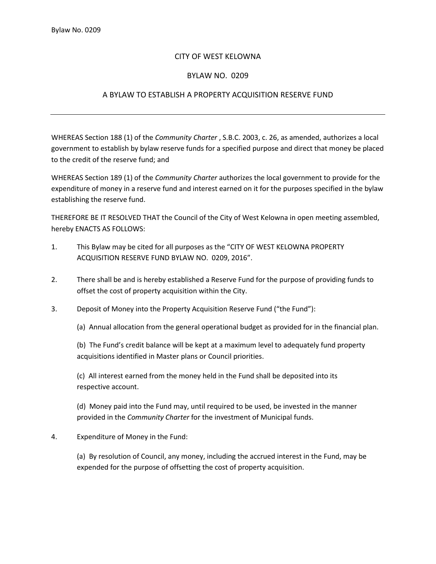## CITY OF WEST KELOWNA

## BYLAW NO. 0209

## A BYLAW TO ESTABLISH A PROPERTY ACQUISITION RESERVE FUND

WHEREAS Section 188 (1) of the *Community Charter* , S.B.C. 2003, c. 26, as amended, authorizes a local government to establish by bylaw reserve funds for a specified purpose and direct that money be placed to the credit of the reserve fund; and

WHEREAS Section 189 (1) of the *Community Charter* authorizes the local government to provide for the expenditure of money in a reserve fund and interest earned on it for the purposes specified in the bylaw establishing the reserve fund.

THEREFORE BE IT RESOLVED THAT the Council of the City of West Kelowna in open meeting assembled, hereby ENACTS AS FOLLOWS:

- 1. This Bylaw may be cited for all purposes as the "CITY OF WEST KELOWNA PROPERTY ACQUISITION RESERVE FUND BYLAW NO. 0209, 2016".
- 2. There shall be and is hereby established a Reserve Fund for the purpose of providing funds to offset the cost of property acquisition within the City.
- 3. Deposit of Money into the Property Acquisition Reserve Fund ("the Fund"):

(a) Annual allocation from the general operational budget as provided for in the financial plan.

(b) The Fund's credit balance will be kept at a maximum level to adequately fund property acquisitions identified in Master plans or Council priorities.

(c) All interest earned from the money held in the Fund shall be deposited into its respective account.

(d) Money paid into the Fund may, until required to be used, be invested in the manner provided in the *Community Charter* for the investment of Municipal funds.

## 4. Expenditure of Money in the Fund:

(a) By resolution of Council, any money, including the accrued interest in the Fund, may be expended for the purpose of offsetting the cost of property acquisition.